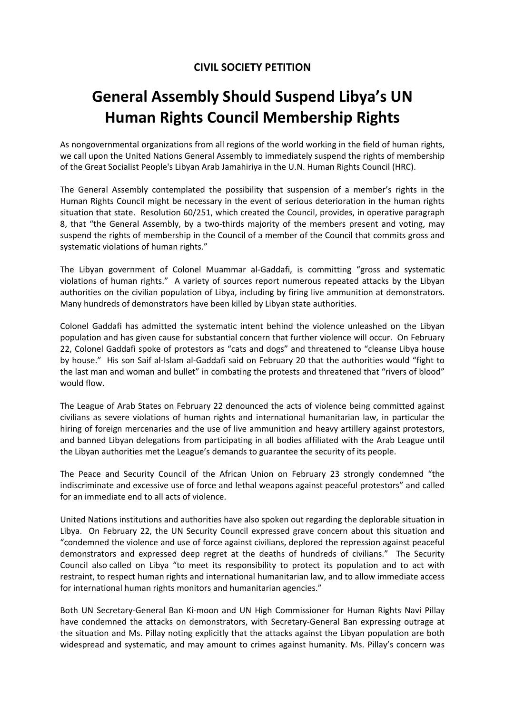## **CIVIL SOCIETY PETITION**

## **General Assembly Should Suspend Libya's UN Human Rights Council Membership Rights**

As nongovernmental organizations from all regions of the world working in the field of human rights, we call upon the United Nations General Assembly to immediately suspend the rights of membership of the Great Socialist People's Libyan Arab Jamahiriya in the U.N. Human Rights Council (HRC).

The General Assembly contemplated the possibility that suspension of a member's rights in the Human Rights Council might be necessary in the event of serious deterioration in the human rights situation that state. Resolution 60/251, which created the Council, provides, in operative paragraph 8, that "the General Assembly, by a two-thirds majority of the members present and voting, may suspend the rights of membership in the Council of a member of the Council that commits gross and systematic violations of human rights."

The Libyan government of Colonel Muammar al‐Gaddafi, is committing "gross and systematic violations of human rights." A variety of sources report numerous repeated attacks by the Libyan authorities on the civilian population of Libya, including by firing live ammunition at demonstrators. Many hundreds of demonstrators have been killed by Libyan state authorities.

Colonel Gaddafi has admitted the systematic intent behind the violence unleashed on the Libyan population and has given cause for substantial concern that further violence will occur. On February 22, Colonel Gaddafi spoke of protestors as "cats and dogs" and threatened to "cleanse Libya house by house." His son Saif al-Islam al-Gaddafi said on February 20 that the authorities would "fight to the last man and woman and bullet" in combating the protests and threatened that "rivers of blood" would flow.

The League of Arab States on February 22 denounced the acts of violence being committed against civilians as severe violations of human rights and international humanitarian law, in particular the hiring of foreign mercenaries and the use of live ammunition and heavy artillery against protestors, and banned Libyan delegations from participating in all bodies affiliated with the Arab League until the Libyan authorities met the League's demands to guarantee the security of its people.

The Peace and Security Council of the African Union on February 23 strongly condemned "the indiscriminate and excessive use of force and lethal weapons against peaceful protestors" and called for an immediate end to all acts of violence.

United Nations institutions and authorities have also spoken out regarding the deplorable situation in Libya. On February 22, the UN Security Council expressed grave concern about this situation and "condemned the violence and use of force against civilians, deplored the repression against peaceful demonstrators and expressed deep regret at the deaths of hundreds of civilians." The Security Council also called on Libya "to meet its responsibility to protect its population and to act with restraint, to respect human rights and international humanitarian law, and to allow immediate access for international human rights monitors and humanitarian agencies."

Both UN Secretary‐General Ban Ki‐moon and UN High Commissioner for Human Rights Navi Pillay have condemned the attacks on demonstrators, with Secretary-General Ban expressing outrage at the situation and Ms. Pillay noting explicitly that the attacks against the Libyan population are both widespread and systematic, and may amount to crimes against humanity. Ms. Pillay's concern was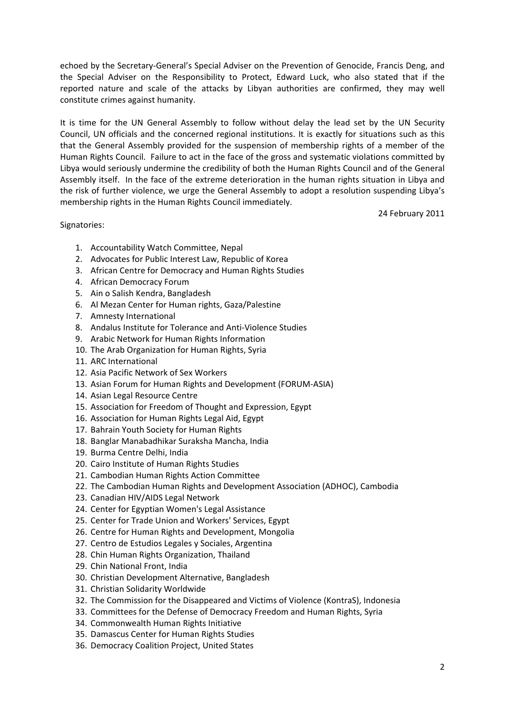echoed by the Secretary‐General's Special Adviser on the Prevention of Genocide, Francis Deng, and the Special Adviser on the Responsibility to Protect, Edward Luck, who also stated that if the reported nature and scale of the attacks by Libyan authorities are confirmed, they may well constitute crimes against humanity.

It is time for the UN General Assembly to follow without delay the lead set by the UN Security Council, UN officials and the concerned regional institutions. It is exactly for situations such as this that the General Assembly provided for the suspension of membership rights of a member of the Human Rights Council. Failure to act in the face of the gross and systematic violations committed by Libya would seriously undermine the credibility of both the Human Rights Council and of the General Assembly itself. In the face of the extreme deterioration in the human rights situation in Libya and the risk of further violence, we urge the General Assembly to adopt a resolution suspending Libya's membership rights in the Human Rights Council immediately.

24 February 2011

## Signatories:

- 1. Accountability Watch Committee, Nepal
- 2. Advocates for Public Interest Law, Republic of Korea
- 3. African Centre for Democracy and Human Rights Studies
- 4. African Democracy Forum
- 5. Ain o Salish Kendra, Bangladesh
- 6. Al Mezan Center for Human rights, Gaza/Palestine
- 7. Amnesty International
- 8. Andalus Institute for Tolerance and Anti‐Violence Studies
- 9. Arabic Network for Human Rights Information
- 10. The Arab Organization for Human Rights, Syria
- 11. ARC International
- 12. Asia Pacific Network of Sex Workers
- 13. Asian Forum for Human Rights and Development (FORUM‐ASIA)
- 14. Asian Legal Resource Centre
- 15. Association for Freedom of Thought and Expression, Egypt
- 16. Association for Human Rights Legal Aid, Egypt
- 17. Bahrain Youth Society for Human Rights
- 18. Banglar Manabadhikar Suraksha Mancha, India
- 19. Burma Centre Delhi, India
- 20. Cairo Institute of Human Rights Studies
- 21. Cambodian Human Rights Action Committee
- 22. The Cambodian Human Rights and Development Association (ADHOC), Cambodia
- 23. Canadian HIV/AIDS Legal Network
- 24. Center for Egyptian Women's Legal Assistance
- 25. Center for Trade Union and Workers' Services, Egypt
- 26. Centre for Human Rights and Development, Mongolia
- 27. Centro de Estudios Legales y Sociales, Argentina
- 28. Chin Human Rights Organization, Thailand
- 29. Chin National Front, India
- 30. Christian Development Alternative, Bangladesh
- 31. Christian Solidarity Worldwide
- 32. The Commission for the Disappeared and Victims of Violence (KontraS), Indonesia
- 33. Committees for the Defense of Democracy Freedom and Human Rights, Syria
- 34. Commonwealth Human Rights Initiative
- 35. Damascus Center for Human Rights Studies
- 36. Democracy Coalition Project, United States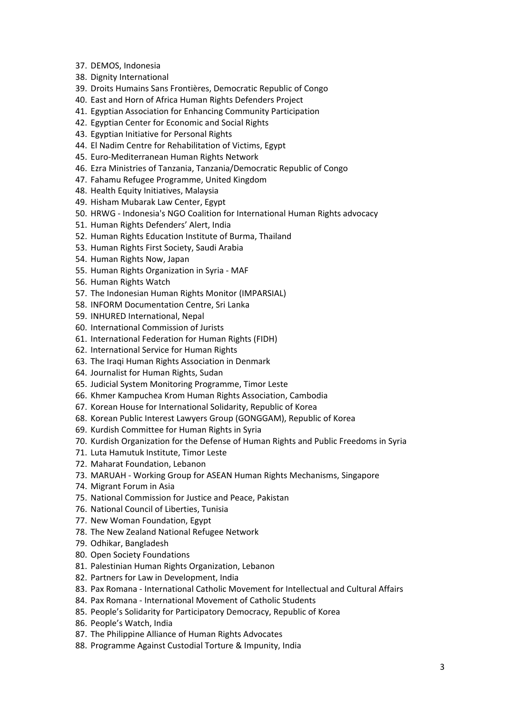- 37. DEMOS, Indonesia
- 38. Dignity International
- 39. Droits Humains Sans Frontières, Democratic Republic of Congo
- 40. East and Horn of Africa Human Rights Defenders Project
- 41. Egyptian Association for Enhancing Community Participation
- 42. Egyptian Center for Economic and Social Rights
- 43. Egyptian Initiative for Personal Rights
- 44. El Nadim Centre for Rehabilitation of Victims, Egypt
- 45. Euro‐Mediterranean Human Rights Network
- 46. Ezra Ministries of Tanzania, Tanzania/Democratic Republic of Congo
- 47. Fahamu Refugee Programme, United Kingdom
- 48. Health Equity Initiatives, Malaysia
- 49. Hisham Mubarak Law Center, Egypt
- 50. HRWG ‐ Indonesia's NGO Coalition for International Human Rights advocacy
- 51. Human Rights Defenders' Alert, India
- 52. Human Rights Education Institute of Burma, Thailand
- 53. Human Rights First Society, Saudi Arabia
- 54. Human Rights Now, Japan
- 55. Human Rights Organization in Syria ‐ MAF
- 56. Human Rights Watch
- 57. The Indonesian Human Rights Monitor (IMPARSIAL)
- 58. INFORM Documentation Centre, Sri Lanka
- 59. INHURED International, Nepal
- 60. International Commission of Jurists
- 61. International Federation for Human Rights (FIDH)
- 62. International Service for Human Rights
- 63. The Iraqi Human Rights Association in Denmark
- 64. Journalist for Human Rights, Sudan
- 65. Judicial System Monitoring Programme, Timor Leste
- 66. Khmer Kampuchea Krom Human Rights Association, Cambodia
- 67. Korean House for International Solidarity, Republic of Korea
- 68. Korean Public Interest Lawyers Group (GONGGAM), Republic of Korea
- 69. Kurdish Committee for Human Rights in Syria
- 70. Kurdish Organization for the Defense of Human Rights and Public Freedoms in Syria
- 71. Luta Hamutuk Institute, Timor Leste
- 72. Maharat Foundation, Lebanon
- 73. MARUAH ‐ Working Group for ASEAN Human Rights Mechanisms, Singapore
- 74. Migrant Forum in Asia
- 75. National Commission for Justice and Peace, Pakistan
- 76. National Council of Liberties, Tunisia
- 77. New Woman Foundation, Egypt
- 78. The New Zealand National Refugee Network
- 79. Odhikar, Bangladesh
- 80. Open Society Foundations
- 81. Palestinian Human Rights Organization, Lebanon
- 82. Partners for Law in Development, India
- 83. Pax Romana ‐ International Catholic Movement for Intellectual and Cultural Affairs
- 84. Pax Romana ‐ International Movement of Catholic Students
- 85. People's Solidarity for Participatory Democracy, Republic of Korea
- 86. People's Watch, India
- 87. The Philippine Alliance of Human Rights Advocates
- 88. Programme Against Custodial Torture & Impunity, India